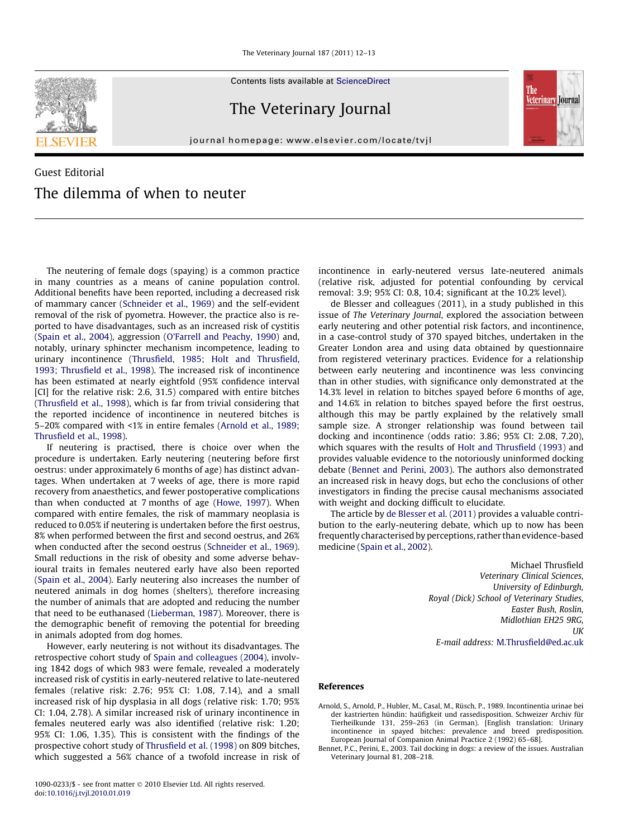Contents lists available at [ScienceDirect](http://www.sciencedirect.com/science/journal/10900233)



journal homepage: [www.elsevier.com/locate/tvjl](http://www.elsevier.com/locate/tvjl)



## Guest Editorial The dilemma of when to neuter

The neutering of female dogs (spaying) is a common practice in many countries as a means of canine population control. Additional benefits have been reported, including a decreased risk of mammary cancer [\(Schneider et al., 1969](#page-1-0)) and the self-evident removal of the risk of pyometra. However, the practice also is reported to have disadvantages, such as an increased risk of cystitis ([Spain et al., 2004](#page-1-0)), aggression [\(O'Farrell and Peachy, 1990](#page-1-0)) and, notably, urinary sphincter mechanism incompetence, leading to urinary incontinence [\(Thrusfield, 1985; Holt and Thrusfield,](#page-1-0) [1993; Thrusfield et al., 1998\)](#page-1-0). The increased risk of incontinence has been estimated at nearly eightfold (95% confidence interval [CI] for the relative risk: 2.6, 31.5) compared with entire bitches ([Thrusfield et al., 1998](#page-1-0)), which is far from trivial considering that the reported incidence of incontinence in neutered bitches is 5–20% compared with <1% in entire females (Arnold et al., 1989; Thrusfield et al., 1998).

If neutering is practised, there is choice over when the procedure is undertaken. Early neutering (neutering before first oestrus: under approximately 6 months of age) has distinct advantages. When undertaken at 7 weeks of age, there is more rapid recovery from anaesthetics, and fewer postoperative complications than when conducted at 7 months of age [\(Howe, 1997](#page-1-0)). When compared with entire females, the risk of mammary neoplasia is reduced to 0.05% if neutering is undertaken before the first oestrus, 8% when performed between the first and second oestrus, and 26% when conducted after the second oestrus [\(Schneider et al., 1969\)](#page-1-0). Small reductions in the risk of obesity and some adverse behavioural traits in females neutered early have also been reported ([Spain et al., 2004\)](#page-1-0). Early neutering also increases the number of neutered animals in dog homes (shelters), therefore increasing the number of animals that are adopted and reducing the number that need to be euthanased ([Lieberman, 1987](#page-1-0)). Moreover, there is the demographic benefit of removing the potential for breeding in animals adopted from dog homes.

However, early neutering is not without its disadvantages. The retrospective cohort study of [Spain and colleagues \(2004\),](#page-1-0) involving 1842 dogs of which 983 were female, revealed a moderately increased risk of cystitis in early-neutered relative to late-neutered females (relative risk: 2.76; 95% CI: 1.08, 7.14), and a small increased risk of hip dysplasia in all dogs (relative risk: 1.70; 95% CI: 1.04, 2.78). A similar increased risk of urinary incontinence in females neutered early was also identified (relative risk: 1.20; 95% CI: 1.06, 1.35). This is consistent with the findings of the prospective cohort study of [Thrusfield et al. \(1998\)](#page-1-0) on 809 bitches, which suggested a 56% chance of a twofold increase in risk of incontinence in early-neutered versus late-neutered animals (relative risk, adjusted for potential confounding by cervical removal: 3.9; 95% CI: 0.8, 10.4; significant at the 10.2% level).

de Blesser and colleagues (2011), in a study published in this issue of The Veterinary Journal, explored the association between early neutering and other potential risk factors, and incontinence, in a case-control study of 370 spayed bitches, undertaken in the Greater London area and using data obtained by questionnaire from registered veterinary practices. Evidence for a relationship between early neutering and incontinence was less convincing than in other studies, with significance only demonstrated at the 14.3% level in relation to bitches spayed before 6 months of age, and 14.6% in relation to bitches spayed before the first oestrus, although this may be partly explained by the relatively small sample size. A stronger relationship was found between tail docking and incontinence (odds ratio: 3.86; 95% CI: 2.08, 7.20), which squares with the results of [Holt and Thrusfield \(1993\)](#page-1-0) and provides valuable evidence to the notoriously uninformed docking debate (Bennet and Perini, 2003). The authors also demonstrated an increased risk in heavy dogs, but echo the conclusions of other investigators in finding the precise causal mechanisms associated with weight and docking difficult to elucidate.

The article by [de Blesser et al. \(2011\)](#page-1-0) provides a valuable contribution to the early-neutering debate, which up to now has been frequently characterised by perceptions, rather than evidence-based medicine [\(Spain et al., 2002\)](#page-1-0).

> Michael Thrusfield Veterinary Clinical Sciences, University of Edinburgh, Royal (Dick) School of Veterinary Studies, Easter Bush, Roslin, Midlothian EH25 9RG, **UK** E-mail address: [M.Thrusfield@ed.ac.uk](mailto:M.Thrusfield@ed.ac.uk)

## References

- Arnold, S., Arnold, P., Hubler, M., Casal, M., Rüsch, P., 1989. Incontinentia urinae bei der kastrierten hündin: haüfigkeit und rassedisposition. Schweizer Archiv für Tierheilkunde 131, 259–263 (in German). [English translation: Urinary incontinence in spayed bitches: prevalence and breed predisposition. European Journal of Companion Animal Practice 2 (1992) 65–68].
- Bennet, P.C., Perini, E., 2003. Tail docking in dogs: a review of the issues. Australian Veterinary Journal 81, 208–218.